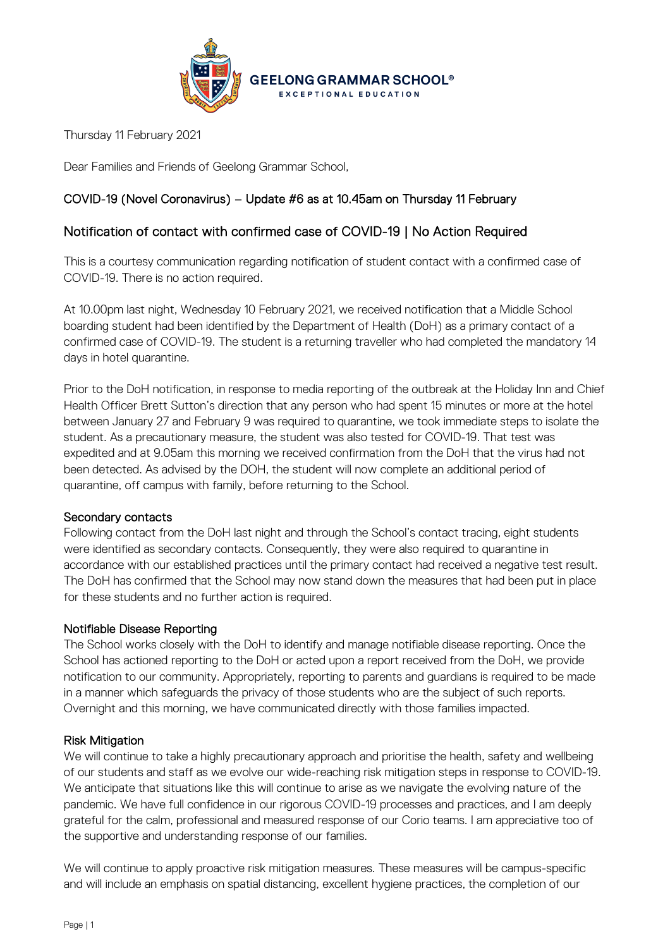

Thursday 11 February 2021

Dear Families and Friends of Geelong Grammar School,

# COVID-19 (Novel Coronavirus) – Update #6 as at 10.45am on Thursday 11 February

## Notification of contact with confirmed case of COVID-19 | No Action Required

This is a courtesy communication regarding notification of student contact with a confirmed case of COVID-19. There is no action required.

At 10.00pm last night, Wednesday 10 February 2021, we received notification that a Middle School boarding student had been identified by the Department of Health (DoH) as a primary contact of a confirmed case of COVID-19. The student is a returning traveller who had completed the mandatory 14 days in hotel quarantine.

Prior to the DoH notification, in response to media reporting of the outbreak at the Holiday Inn and Chief Health Officer Brett Sutton's direction that any person who had spent 15 minutes or more at the hotel between January 27 and February 9 was required to quarantine, we took immediate steps to isolate the student. As a precautionary measure, the student was also tested for COVID-19. That test was expedited and at 9.05am this morning we received confirmation from the DoH that the virus had not been detected. As advised by the DOH, the student will now complete an additional period of quarantine, off campus with family, before returning to the School.

### Secondary contacts

Following contact from the DoH last night and through the School's contact tracing, eight students were identified as secondary contacts. Consequently, they were also required to quarantine in accordance with our established practices until the primary contact had received a negative test result. The DoH has confirmed that the School may now stand down the measures that had been put in place for these students and no further action is required.

### Notifiable Disease Reporting

The School works closely with the DoH to identify and manage notifiable disease reporting. Once the School has actioned reporting to the DoH or acted upon a report received from the DoH, we provide notification to our community. Appropriately, reporting to parents and guardians is required to be made in a manner which safeguards the privacy of those students who are the subject of such reports. Overnight and this morning, we have communicated directly with those families impacted.

### Risk Mitigation

We will continue to take a highly precautionary approach and prioritise the health, safety and wellbeing of our students and staff as we evolve our wide-reaching risk mitigation steps in response to COVID-19. We anticipate that situations like this will continue to arise as we navigate the evolving nature of the pandemic. We have full confidence in our rigorous COVID-19 processes and practices, and I am deeply grateful for the calm, professional and measured response of our Corio teams. I am appreciative too of the supportive and understanding response of our families.

We will continue to apply proactive risk mitigation measures. These measures will be campus-specific and will include an emphasis on spatial distancing, excellent hygiene practices, the completion of our